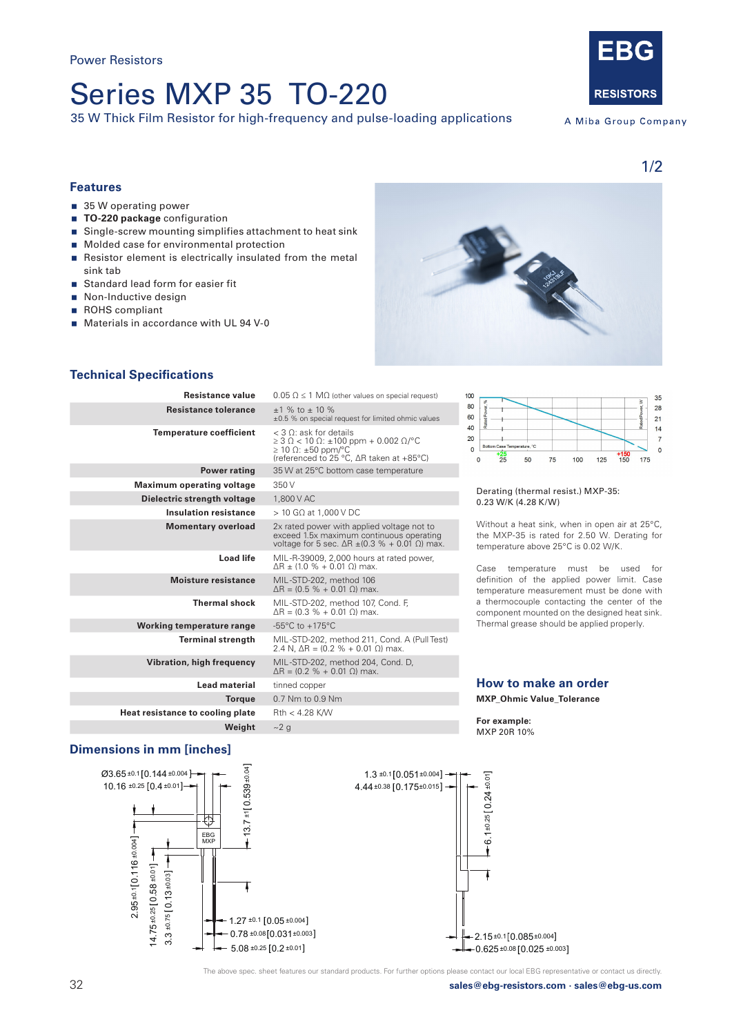# Series MXP 35 TO-220

35 W Thick Film Resistor for high-frequency and pulse-loading applications



A Miba Group Company

1/2

# **Features**

- 35 W operating power
- **TO-220 package** configuration
- **Single-screw mounting simplifies attachment to heat sink**
- **Molded case for environmental protection**
- Resistor element is electrically insulated from the metal sink tab
- Standard lead form for easier fit
- Non-Inductive design
- ROHS compliant
- Materials in accordance with UL 94 V-0



# **Technical Specifications**

| Resistance value                 | $0.05 \Omega \leq 1 \text{ M}\Omega$ (other values on special request)<br>10                                                                                                           |
|----------------------------------|----------------------------------------------------------------------------------------------------------------------------------------------------------------------------------------|
| <b>Resistance tolerance</b>      | ε<br>$+1$ % to $+10$ %<br>6<br>±0.5 % on special request for limited ohmic values                                                                                                      |
| <b>Temperature coefficient</b>   | $<$ 3 $\odot$ : ask for details<br>$\geq$ 3 $\Omega$ < 10 $\Omega$ : $\pm$ 100 ppm + 0.002 $\Omega$ /°C<br>$\geq$ 10 $\Omega$ : ±50 ppm/°C<br>(referenced to 25 °C, ∆R taken at +85°C) |
| <b>Power rating</b>              | 35 W at 25°C bottom case temperature                                                                                                                                                   |
| <b>Maximum operating voltage</b> | 350 V                                                                                                                                                                                  |
| Dielectric strength voltage      | 1,800 V AC                                                                                                                                                                             |
| <b>Insulation resistance</b>     | $>$ 10 G $\Omega$ at 1,000 V DC                                                                                                                                                        |
| <b>Momentary overload</b>        | 2x rated power with applied voltage not to<br>exceed 1.5x maximum continuous operating<br>voltage for 5 sec. $\Delta R \pm (0.3 \% + 0.01 \Omega)$ max.                                |
| Load life                        | MIL-R-39009, 2,000 hours at rated power,<br>$AR + (1.0 % + 0.01 0)$ max.                                                                                                               |
| Moisture resistance              | MIL-STD-202, method 106<br>$\Delta$ R = (0.5 % + 0.01 $\Omega$ ) max.                                                                                                                  |
| <b>Thermal shock</b>             | MIL-STD-202, method 107, Cond. F,<br>$\Delta$ R = (0.3 % + 0.01 $\Omega$ ) max.                                                                                                        |
| Working temperature range        | -55 $\mathrm{^{\circ}C}$ to +175 $\mathrm{^{\circ}C}$                                                                                                                                  |
| <b>Terminal strength</b>         | MIL-STD-202, method 211, Cond. A (Pull Test)<br>2.4 N, $\Delta$ R = (0.2 % + 0.01 $\Omega$ ) max.                                                                                      |
| Vibration, high frequency        | MIL-STD-202, method 204, Cond. D,<br>$\Delta$ R = (0.2 % + 0.01 $\Omega$ ) max.                                                                                                        |
| <b>Lead material</b>             | tinned copper                                                                                                                                                                          |
| <b>Torque</b>                    | 0.7 Nm to 0.9 Nm                                                                                                                                                                       |
| Heat resistance to cooling plate | $Rth < 4.28$ K/W                                                                                                                                                                       |
| Weight                           | $\sim$ 2 q                                                                                                                                                                             |
|                                  |                                                                                                                                                                                        |

#### $\infty$  $35$ 80 28 60  $21$  $10^{10}$  $14$  $\frac{20}{20}$  $\overline{7}$  $\overline{0}$  $\mathbf{0}$  $\frac{+25}{25}$  $\frac{+150}{150}$  $\overline{0}$ 50  $75$ 100  $125$ 175

## Derating (thermal resist.) MXP-35: 0.23 W/K (4.28 K/W)

Without a heat sink, when in open air at 25°C, the MXP-35 is rated for 2.50 W. Derating for temperature above 25°C is 0.02 W/K.

Case temperature must be used for definition of the applied power limit. Case temperature measurement must be done with a thermocouple contacting the center of the component mounted on the designed heat sink. Thermal grease should be applied properly.

# **How to make an order**

**MXP\_Ohmic Value\_Tolerance**

**For example:**  MXP 20R 10%

# **Dimensions in mm [inches]**





The above spec. sheet features our standard products. For further options please contact our local EBG representative or contact us directly.